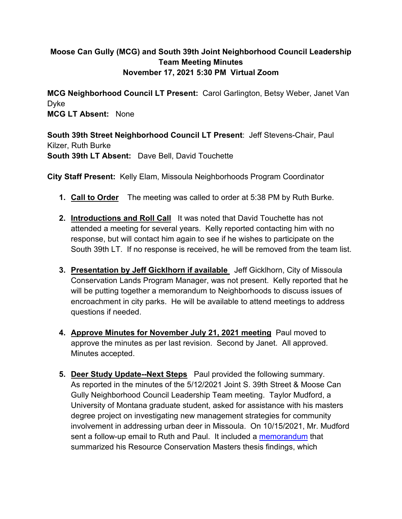## **Moose Can Gully (MCG) and South 39th Joint Neighborhood Council Leadership Team Meeting Minutes November 17, 2021 5:30 PM Virtual Zoom**

**MCG Neighborhood Council LT Present:** Carol Garlington, Betsy Weber, Janet Van Dyke **MCG LT Absent:** None

**South 39th Street Neighborhood Council LT Present**: Jeff Stevens-Chair, Paul Kilzer, Ruth Burke **South 39th LT Absent:** Dave Bell, David Touchette

**City Staff Present:** Kelly Elam, Missoula Neighborhoods Program Coordinator

- **1. Call to Order** The meeting was called to order at 5:38 PM by Ruth Burke.
- **2. Introductions and Roll Call** It was noted that David Touchette has not attended a meeting for several years. Kelly reported contacting him with no response, but will contact him again to see if he wishes to participate on the South 39th LT. If no response is received, he will be removed from the team list.
- **3. Presentation by Jeff Gicklhorn if available** Jeff Gicklhorn, City of Missoula Conservation Lands Program Manager, was not present. Kelly reported that he will be putting together a memorandum to Neighborhoods to discuss issues of encroachment in city parks. He will be available to attend meetings to address questions if needed.
- **4. Approve Minutes for November July 21, 2021 meeting** Paul moved to approve the minutes as per last revision. Second by Janet. All approved. Minutes accepted.
- **5. Deer Study Update--Next Steps** Paul provided the following summary. As reported in the minutes of the 5/12/2021 Joint S. 39th Street & Moose Can Gully Neighborhood Council Leadership Team meeting. Taylor Mudford, a University of Montana graduate student, asked for assistance with his masters degree project on investigating new management strategies for community involvement in addressing urban deer in Missoula. On 10/15/2021, Mr. Mudford sent a follow-up email to Ruth and Paul. It included a [memorandum](https://www.ci.missoula.mt.us/DocumentCenter/View/59869/Taylor-Munford-Urban-Deer-Results-Memo) that summarized his Resource Conservation Masters thesis findings, which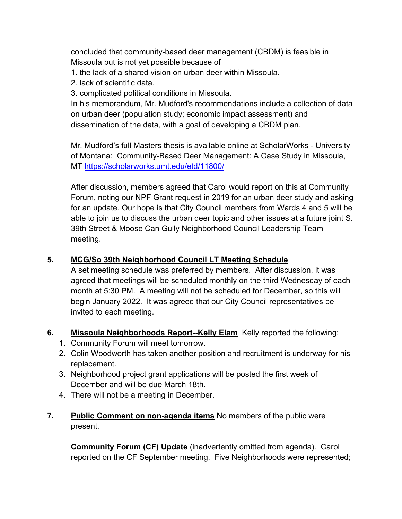concluded that community-based deer management (CBDM) is feasible in Missoula but is not yet possible because of

- 1. the lack of a shared vision on urban deer within Missoula.
- 2. lack of scientific data.
- 3. complicated political conditions in Missoula.

In his memorandum, Mr. Mudford's recommendations include a collection of data on urban deer (population study; economic impact assessment) and dissemination of the data, with a goal of developing a CBDM plan.

Mr. Mudford's full Masters thesis is available online at ScholarWorks - University of Montana: Community-Based Deer Management: A Case Study in Missoula, MT<https://scholarworks.umt.edu/etd/11800/>

After discussion, members agreed that Carol would report on this at Community Forum, noting our NPF Grant request in 2019 for an urban deer study and asking for an update. Our hope is that City Council members from Wards 4 and 5 will be able to join us to discuss the urban deer topic and other issues at a future joint S. 39th Street & Moose Can Gully Neighborhood Council Leadership Team meeting.

## **5. MCG/So 39th Neighborhood Council LT Meeting Schedule**

A set meeting schedule was preferred by members. After discussion, it was agreed that meetings will be scheduled monthly on the third Wednesday of each month at 5:30 PM. A meeting will not be scheduled for December, so this will begin January 2022. It was agreed that our City Council representatives be invited to each meeting.

- **6. Missoula Neighborhoods Report--Kelly Elam** Kelly reported the following:
	- 1. Community Forum will meet tomorrow.
	- 2. Colin Woodworth has taken another position and recruitment is underway for his replacement.
	- 3. Neighborhood project grant applications will be posted the first week of December and will be due March 18th.
	- 4. There will not be a meeting in December.
- **7. Public Comment on non-agenda items** No members of the public were present.

**Community Forum (CF) Update** (inadvertently omitted from agenda). Carol reported on the CF September meeting. Five Neighborhoods were represented;